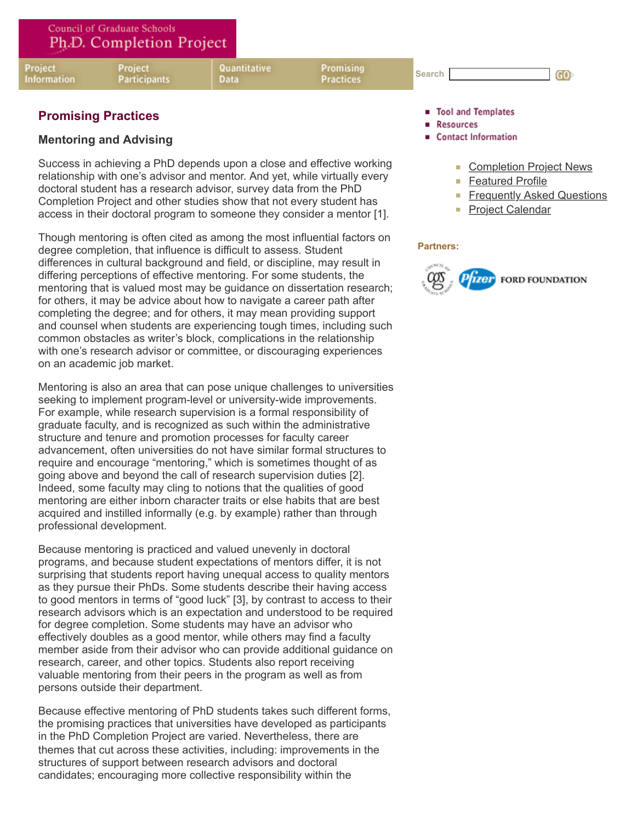|         | Ph.D. Completion Project |              |                  |  |
|---------|--------------------------|--------------|------------------|--|
| Proiect | <b>Project</b>           | Quantitative |                  |  |
|         |                          |              | <b>Promising</b> |  |

**Practices** 

# **Promising Practices**

**Information** 

#### **Mentoring and Advising**

Council of Graduate Schools

**Participants** 

Success in achieving a PhD depends upon a close and effective working relationship with one's advisor and mentor. And yet, while virtually every doctoral student has a research advisor, survey data from the PhD Completion Project and other studies show that not every student has access in their doctoral program to someone they consider a mentor [1].

Data

Though mentoring is often cited as among the most influential factors on degree completion, that influence is difficult to assess. Student differences in cultural background and field, or discipline, may result in differing perceptions of effective mentoring. For some students, the mentoring that is valued most may be guidance on dissertation research; for others, it may be advice about how to navigate a career path after completing the degree; and for others, it may mean providing support and counsel when students are experiencing tough times, including such common obstacles as writer's block, complications in the relationship with one's research advisor or committee, or discouraging experiences on an academic job market.

Mentoring is also an area that can pose unique challenges to universities seeking to implement program-level or university-wide improvements. For example, while research supervision is a formal responsibility of graduate faculty, and is recognized as such within the administrative structure and tenure and promotion processes for faculty career advancement, often universities do not have similar formal structures to require and encourage "mentoring," which is sometimes thought of as going above and beyond the call of research supervision duties [2]. Indeed, some faculty may cling to notions that the qualities of good mentoring are either inborn character traits or else habits that are best acquired and instilled informally (e.g. by example) rather than through professional development.

Because mentoring is practiced and valued unevenly in doctoral programs, and because student expectations of mentors differ, it is not surprising that students report having unequal access to quality mentors as they pursue their PhDs. Some students describe their having access to good mentors in terms of "good luck" [3], by contrast to access to their research advisors which is an expectation and understood to be required for degree completion. Some students may have an advisor who effectively doubles as a good mentor, while others may find a faculty member aside from their advisor who can provide additional guidance on research, career, and other topics. Students also report receiving valuable mentoring from their peers in the program as well as from persons outside their department.

Because effective mentoring of PhD students takes such different forms, the promising practices that universities have developed as participants in the PhD Completion Project are varied. Nevertheless, there are themes that cut across these activities, including: improvements in the structures of support between research advisors and doctoral candidates; encouraging more collective responsibility within the

Tool and Templates

**Resources** 

**Search**

- Contact Information
	- [Completion Project News](http://www.phdcompletion.org/news/index.asp)

GO<sub>®</sub>

- Ē. [Featured Profile](http://www.phdcompletion.org/features/missouri.asp)
- [Frequently Asked Questions](http://www.phdcompletion.org/faqs/index.asp) m,
- [Project Calendar](http://www.phdcompletion.org/calendar/1102.asp) m.

#### **Partners:**

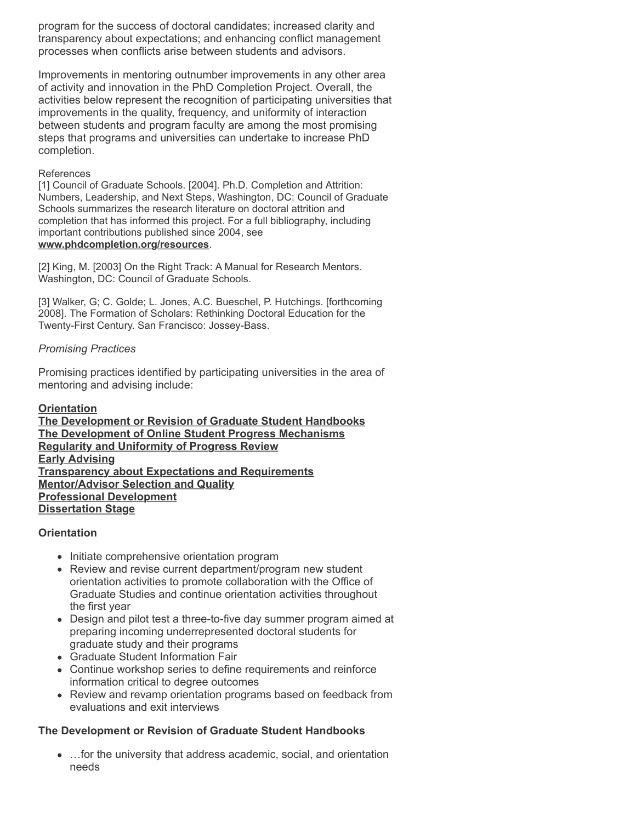program for the success of doctoral candidates; increased clarity and transparency about expectations; and enhancing conflict management processes when conflicts arise between students and advisors.

Improvements in mentoring outnumber improvements in any other area of activity and innovation in the PhD Completion Project. Overall, the activities below represent the recognition of participating universities that improvements in the quality, frequency, and uniformity of interaction between students and program faculty are among the most promising steps that programs and universities can undertake to increase PhD completion.

#### References

[1] Council of Graduate Schools. [2004]. Ph.D. Completion and Attrition: Numbers, Leadership, and Next Steps, Washington, DC: Council of Graduate Schools summarizes the research literature on doctoral attrition and completion that has informed this project. For a full bibliography, including important contributions published since 2004, see **[www.phdcompletion.org/resources](http://www.phdcompletion.org/promising/www.phdcompletion.org/resources)**.

[2] King, M. [2003] On the Right Track: A Manual for Research Mentors. Washington, DC: Council of Graduate Schools.

[3] Walker, G; C. Golde; L. Jones, A.C. Bueschel, P. Hutchings. [forthcoming 2008]. The Formation of Scholars: Rethinking Doctoral Education for the Twenty-First Century. San Francisco: Jossey-Bass.

### *Promising Practices*

Promising practices identified by participating universities in the area of mentoring and advising include:

### **[Orientation](#page-1-0)**

**[The Development or Revision of Graduate Student Handbooks](#page-1-1) [The Development of Online Student Progress Mechanisms](#page-2-0) [Regularity and Uniformity of Progress Review](#page-2-1) [Early Advising](#page-2-2) [Transparency about Expectations and Requirements](#page-2-3) [Mentor/Advisor Selection and Quality](#page-3-0) [Professional Development](#page-3-1) [Dissertation Stage](#page-4-0)**

#### **Orientation**

- <span id="page-1-0"></span>• Initiate comprehensive orientation program
- Review and revise current department/program new student orientation activities to promote collaboration with the Office of Graduate Studies and continue orientation activities throughout the first year
- Design and pilot test a three-to-five day summer program aimed at preparing incoming underrepresented doctoral students for graduate study and their programs
- Graduate Student Information Fair
- Continue workshop series to define requirements and reinforce information critical to degree outcomes
- Review and revamp orientation programs based on feedback from evaluations and exit interviews

### **The Development or Revision of Graduate Student Handbooks**

<span id="page-1-1"></span>…for the university that address academic, social, and orientation needs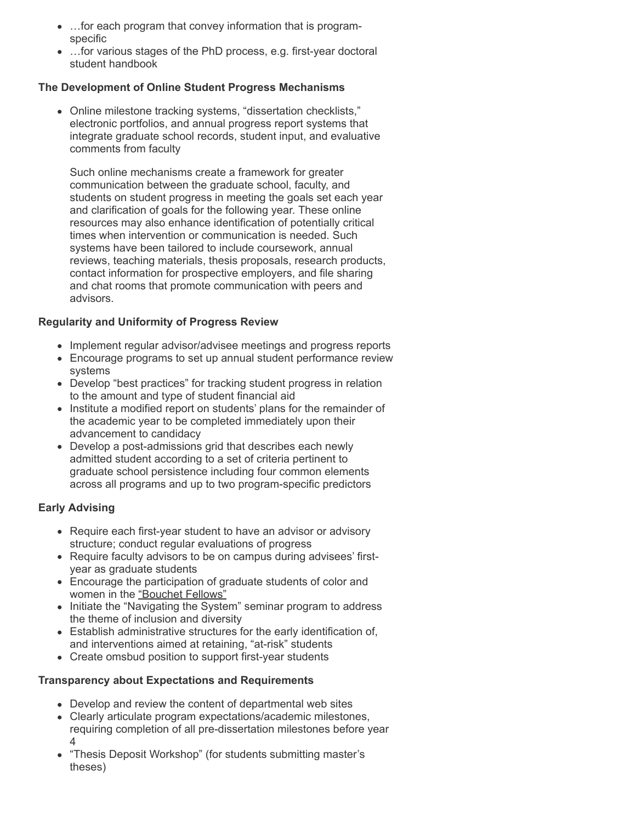- ... for each program that convey information that is programspecific
- …for various stages of the PhD process, e.g. first-year doctoral student handbook

## **The Development of Online Student Progress Mechanisms**

<span id="page-2-0"></span>• Online milestone tracking systems, "dissertation checklists," electronic portfolios, and annual progress report systems that integrate graduate school records, student input, and evaluative comments from faculty

Such online mechanisms create a framework for greater communication between the graduate school, faculty, and students on student progress in meeting the goals set each year and clarification of goals for the following year. These online resources may also enhance identification of potentially critical times when intervention or communication is needed. Such systems have been tailored to include coursework, annual reviews, teaching materials, thesis proposals, research products, contact information for prospective employers, and file sharing and chat rooms that promote communication with peers and advisors.

## **Regularity and Uniformity of Progress Review**

- <span id="page-2-1"></span>• Implement regular advisor/advisee meetings and progress reports
- Encourage programs to set up annual student performance review systems
- Develop "best practices" for tracking student progress in relation to the amount and type of student financial aid
- Institute a modified report on students' plans for the remainder of the academic year to be completed immediately upon their advancement to candidacy
- Develop a post-admissions grid that describes each newly admitted student according to a set of criteria pertinent to graduate school persistence including four common elements across all programs and up to two program-specific predictors

# **Early Advising**

- <span id="page-2-2"></span>• Require each first-year student to have an advisor or advisory structure; conduct regular evaluations of progress
- Require faculty advisors to be on campus during advisees' firstyear as graduate students
- Encourage the participation of graduate students of color and women in the ["Bouchet Fellows"](http://www.yale.edu/yalecollege/students/academics/fellowships/bouchet.html)
- Initiate the "Navigating the System" seminar program to address the theme of inclusion and diversity
- Establish administrative structures for the early identification of, and interventions aimed at retaining, "at-risk" students
- Create omsbud position to support first-year students

# **Transparency about Expectations and Requirements**

- <span id="page-2-3"></span>Develop and review the content of departmental web sites
- Clearly articulate program expectations/academic milestones, requiring completion of all pre-dissertation milestones before year 4
- "Thesis Deposit Workshop" (for students submitting master's theses)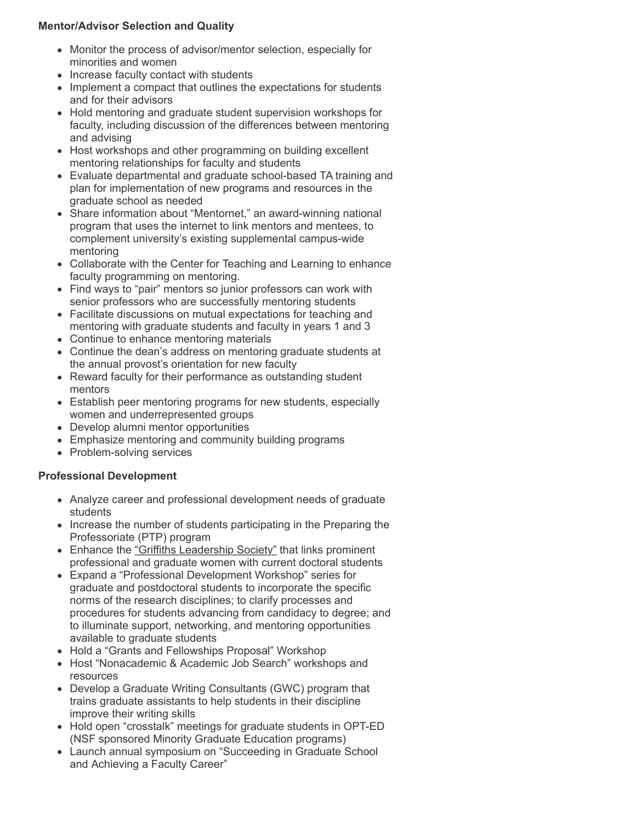# **Mentor/Advisor Selection and Quality**

- <span id="page-3-0"></span>Monitor the process of advisor/mentor selection, especially for minorities and women
- Increase faculty contact with students
- Implement a compact that outlines the expectations for students and for their advisors
- Hold mentoring and graduate student supervision workshops for faculty, including discussion of the differences between mentoring and advising
- Host workshops and other programming on building excellent mentoring relationships for faculty and students
- Evaluate departmental and graduate school-based TA training and plan for implementation of new programs and resources in the graduate school as needed
- Share information about "Mentornet," an award-winning national program that uses the internet to link mentors and mentees, to complement university's existing supplemental campus-wide mentoring
- Collaborate with the Center for Teaching and Learning to enhance faculty programming on mentoring.
- Find ways to "pair" mentors so junior professors can work with senior professors who are successfully mentoring students
- Facilitate discussions on mutual expectations for teaching and mentoring with graduate students and faculty in years 1 and 3
- Continue to enhance mentoring materials
- Continue the dean's address on mentoring graduate students at the annual provost's orientation for new faculty
- Reward faculty for their performance as outstanding student mentors
- Establish peer mentoring programs for new students, especially women and underrepresented groups
- Develop alumni mentor opportunities
- Emphasize mentoring and community building programs
- Problem-solving services

# **Professional Development**

- <span id="page-3-1"></span>Analyze career and professional development needs of graduate students
- Increase the number of students participating in the Preparing the Professoriate (PTP) program
- Enhance the ["Griffiths Leadership Society"](http://www.mizzou.com/griffiths/) that links prominent professional and graduate women with current doctoral students
- Expand a "Professional Development Workshop" series for graduate and postdoctoral students to incorporate the specific norms of the research disciplines; to clarify processes and procedures for students advancing from candidacy to degree; and to illuminate support, networking, and mentoring opportunities available to graduate students
- Hold a "Grants and Fellowships Proposal" Workshop
- Host "Nonacademic & Academic Job Search" workshops and resources
- Develop a Graduate Writing Consultants (GWC) program that trains graduate assistants to help students in their discipline improve their writing skills
- Hold open "crosstalk" meetings for graduate students in OPT-ED (NSF sponsored Minority Graduate Education programs)
- Launch annual symposium on "Succeeding in Graduate School and Achieving a Faculty Career"